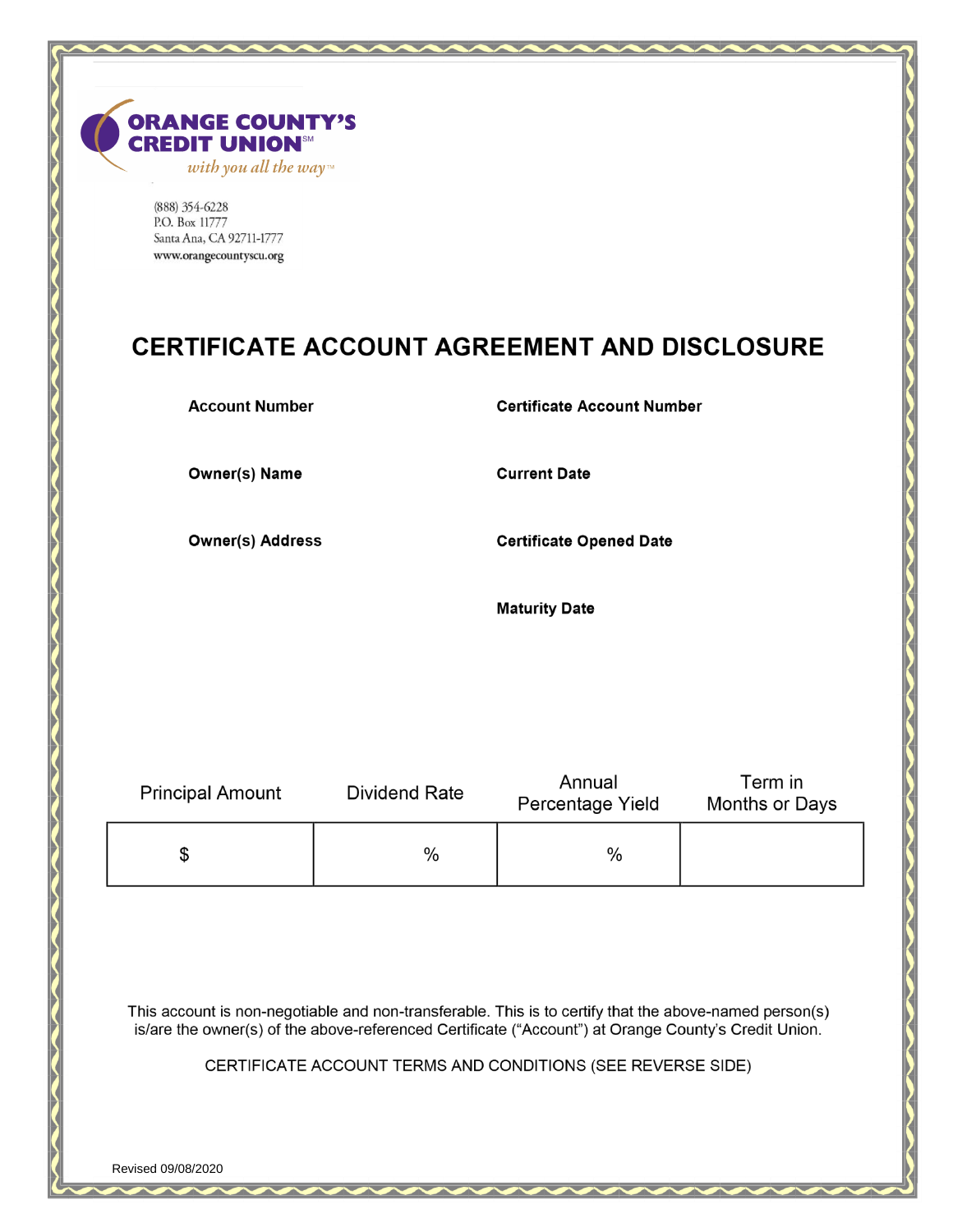

(888) 354-6228 P.O. Box 11777 Santa Ana, CA 92711-1777 www.orangecountyscu.org

# **CERTIFICATE ACCOUNT AGREEMENT AND DISCLOSURE**

**Account Number** 

# **Certificate Account Number**

**Owner(s) Name** 

**Current Date** 

**Owner(s) Address** 

**Certificate Opened Date** 

**Maturity Date** 

| <b>Principal Amount</b> | Dividend Rate | Annual<br>Percentage Yield | Term in<br>Months or Days |
|-------------------------|---------------|----------------------------|---------------------------|
|                         | %             | $\%$                       |                           |

This account is non-negotiable and non-transferable. This is to certify that the above-named person(s) is/are the owner(s) of the above-referenced Certificate ("Account") at Orange County's Credit Union.

CERTIFICATE ACCOUNT TERMS AND CONDITIONS (SEE REVERSE SIDE)

Revised 09/08/2020